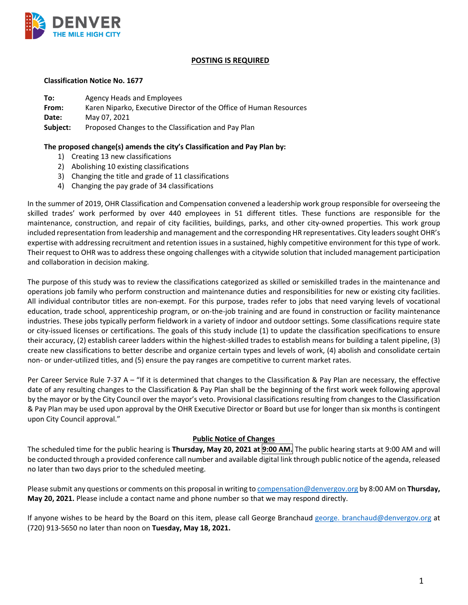

### **POSTING IS REQUIRED**

#### **Classification Notice No. 1677**

| To:      | Agency Heads and Employees                                         |
|----------|--------------------------------------------------------------------|
| From:    | Karen Niparko, Executive Director of the Office of Human Resources |
| Date:    | May 07, 2021                                                       |
| Subject: | Proposed Changes to the Classification and Pay Plan                |

### **The proposed change(s) amends the city's Classification and Pay Plan by:**

- 1) Creating 13 new classifications
- 2) Abolishing 10 existing classifications
- 3) Changing the title and grade of 11 classifications
- 4) Changing the pay grade of 34 classifications

In the summer of 2019, OHR Classification and Compensation convened a leadership work group responsible for overseeing the skilled trades' work performed by over 440 employees in 51 different titles. These functions are responsible for the maintenance, construction, and repair of city facilities, buildings, parks, and other city-owned properties. This work group included representation from leadership and management and the corresponding HR representatives. City leaders sought OHR's expertise with addressing recruitment and retention issues in a sustained, highly competitive environment for this type of work. Their request to OHR was to address these ongoing challenges with a citywide solution that included management participation and collaboration in decision making.

The purpose of this study was to review the classifications categorized as skilled or semiskilled trades in the maintenance and operations job family who perform construction and maintenance duties and responsibilities for new or existing city facilities. All individual contributor titles are non-exempt. For this purpose, trades refer to jobs that need varying levels of vocational education, trade school, apprenticeship program, or on-the-job training and are found in construction or facility maintenance industries. These jobs typically perform fieldwork in a variety of indoor and outdoor settings. Some classifications require state or city-issued licenses or certifications. The goals of this study include (1) to update the classification specifications to ensure their accuracy, (2) establish career ladders within the highest-skilled trades to establish means for building a talent pipeline, (3) create new classifications to better describe and organize certain types and levels of work, (4) abolish and consolidate certain non- or under-utilized titles, and (5) ensure the pay ranges are competitive to current market rates.

Per Career Service Rule 7-37 A – "If it is determined that changes to the Classification & Pay Plan are necessary, the effective date of any resulting changes to the Classification & Pay Plan shall be the beginning of the first work week following approval by the mayor or by the City Council over the mayor's veto. Provisional classifications resulting from changes to the Classification & Pay Plan may be used upon approval by the OHR Executive Director or Board but use for longer than six months is contingent upon City Council approval."

## **Public Notice of Changes**

The scheduled time for the public hearing is **Thursday, May 20, 2021 at 9:00 AM.** The public hearing starts at 9:00 AM and will be conducted through a provided conference call number and available digital link through public notice of the agenda, released no later than two days prior to the scheduled meeting.

Please submit any questions or comments on this proposal in writing to [compensation@denvergov.org](mailto:compensation@denvergov.org) by 8:00 AM on **Thursday, May 20, 2021.** Please include a contact name and phone number so that we may respond directly.

If anyone wishes to be heard by the Board on this item, please call George Branchaud [george. branchaud@denvergov.org](mailto:george.%20branchaud@denvergov.org) at (720) 913-5650 no later than noon on **Tuesday, May 18, 2021.**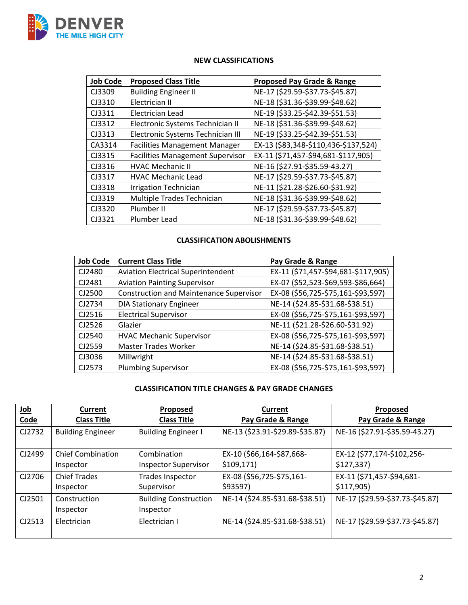

# **NEW CLASSIFICATIONS**

| <b>Job Code</b> | <b>Proposed Class Title</b>             | <b>Proposed Pay Grade &amp; Range</b> |
|-----------------|-----------------------------------------|---------------------------------------|
| CJ3309          | <b>Building Engineer II</b>             | NE-17 (\$29.59-\$37.73-\$45.87)       |
| CJ3310          | Electrician II                          | NE-18 (\$31.36-\$39.99-\$48.62)       |
| CJ3311          | Electrician Lead                        | NE-19 (\$33.25-\$42.39-\$51.53)       |
| CJ3312          | Electronic Systems Technician II        | NE-18 (\$31.36-\$39.99-\$48.62)       |
| CJ3313          | Electronic Systems Technician III       | NE-19 (\$33.25-\$42.39-\$51.53)       |
| CA3314          | <b>Facilities Management Manager</b>    | EX-13 (\$83,348-\$110,436-\$137,524)  |
| CJ3315          | <b>Facilities Management Supervisor</b> | EX-11 (\$71,457-\$94,681-\$117,905)   |
| CJ3316          | <b>HVAC Mechanic II</b>                 | NE-16 (\$27.91-\$35.59-43.27)         |
| CJ3317          | <b>HVAC Mechanic Lead</b>               | NE-17 (\$29.59-\$37.73-\$45.87)       |
| CJ3318          | <b>Irrigation Technician</b>            | NE-11 (\$21.28-\$26.60-\$31.92)       |
| CJ3319          | Multiple Trades Technician              | NE-18 (\$31.36-\$39.99-\$48.62)       |
| CJ3320          | Plumber II                              | NE-17 (\$29.59-\$37.73-\$45.87)       |
| CJ3321          | Plumber Lead                            | NE-18 (\$31.36-\$39.99-\$48.62)       |

## **CLASSIFICATION ABOLISHMENTS**

| <b>Job Code</b> | <b>Current Class Title</b>                     | Pay Grade & Range                   |
|-----------------|------------------------------------------------|-------------------------------------|
| CJ2480          | <b>Aviation Electrical Superintendent</b>      | EX-11 (\$71,457-\$94,681-\$117,905) |
| CJ2481          | <b>Aviation Painting Supervisor</b>            | EX-07 (\$52,523-\$69,593-\$86,664)  |
| CJ2500          | <b>Construction and Maintenance Supervisor</b> | EX-08 (\$56,725-\$75,161-\$93,597)  |
| CJ2734          | <b>DIA Stationary Engineer</b>                 | NE-14 (\$24.85-\$31.68-\$38.51)     |
| CJ2516          | <b>Electrical Supervisor</b>                   | EX-08 (\$56,725-\$75,161-\$93,597)  |
| CJ2526          | Glazier                                        | NE-11 (\$21.28-\$26.60-\$31.92)     |
| CJ2540          | <b>HVAC Mechanic Supervisor</b>                | EX-08 (\$56,725-\$75,161-\$93,597)  |
| CJ2559          | <b>Master Trades Worker</b>                    | NE-14 (\$24.85-\$31.68-\$38.51)     |
| CJ3036          | Millwright                                     | NE-14 (\$24.85-\$31.68-\$38.51)     |
| CJ2573          | <b>Plumbing Supervisor</b>                     | EX-08 (\$56,725-\$75,161-\$93,597)  |

# **CLASSIFICATION TITLE CHANGES & PAY GRADE CHANGES**

| Job    | Current                  | <b>Proposed</b>              | Current                         | <b>Proposed</b>                 |
|--------|--------------------------|------------------------------|---------------------------------|---------------------------------|
| Code   | <b>Class Title</b>       | <b>Class Title</b>           | Pay Grade & Range               | Pay Grade & Range               |
| CJ2732 | <b>Building Engineer</b> | <b>Building Engineer I</b>   | NE-13 (\$23.91-\$29.89-\$35.87) | NE-16 (\$27.91-\$35.59-43.27)   |
| CJ2499 | <b>Chief Combination</b> | Combination                  | EX-10 (\$66,164-\$87,668-       | EX-12 (\$77,174-\$102,256-      |
|        | Inspector                | <b>Inspector Supervisor</b>  | \$109,171                       | \$127,337                       |
| CJ2706 | <b>Chief Trades</b>      | Trades Inspector             | EX-08 (\$56,725-\$75,161-       | EX-11 (\$71,457-\$94,681-       |
|        | Inspector                | Supervisor                   | \$93597)                        | \$117,905                       |
| CJ2501 | Construction             | <b>Building Construction</b> | NE-14 (\$24.85-\$31.68-\$38.51) | NE-17 (\$29.59-\$37.73-\$45.87) |
|        | Inspector                | Inspector                    |                                 |                                 |
| CJ2513 | Electrician              | Electrician I                | NE-14 (\$24.85-\$31.68-\$38.51) | NE-17 (\$29.59-\$37.73-\$45.87) |
|        |                          |                              |                                 |                                 |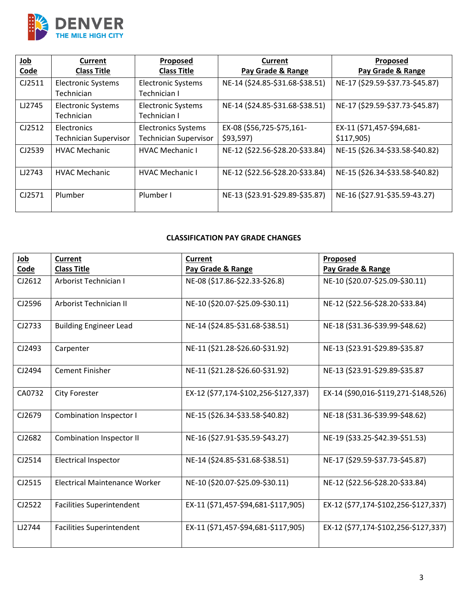

| Job         | Current                      | <b>Proposed</b>              | Current                         | <b>Proposed</b>                 |
|-------------|------------------------------|------------------------------|---------------------------------|---------------------------------|
| <b>Code</b> | <b>Class Title</b>           | <b>Class Title</b>           | Pay Grade & Range               | Pay Grade & Range               |
| CJ2511      | <b>Electronic Systems</b>    | <b>Electronic Systems</b>    | NE-14 (\$24.85-\$31.68-\$38.51) | NE-17 (\$29.59-\$37.73-\$45.87) |
|             | Technician                   | Technician I                 |                                 |                                 |
| LJ2745      | <b>Electronic Systems</b>    | <b>Electronic Systems</b>    | NE-14 (\$24.85-\$31.68-\$38.51) | NE-17 (\$29.59-\$37.73-\$45.87) |
|             | Technician                   | Technician I                 |                                 |                                 |
| CJ2512      | <b>Electronics</b>           | <b>Electronics Systems</b>   | EX-08 (\$56,725-\$75,161-       | EX-11 (\$71,457-\$94,681-       |
|             | <b>Technician Supervisor</b> | <b>Technician Supervisor</b> | \$93,597                        | \$117,905                       |
| CJ2539      | <b>HVAC Mechanic</b>         | <b>HVAC Mechanic I</b>       | NE-12 (\$22.56-\$28.20-\$33.84) | NE-15 (\$26.34-\$33.58-\$40.82) |
|             |                              |                              |                                 |                                 |
| LJ2743      | <b>HVAC Mechanic</b>         | <b>HVAC Mechanic I</b>       | NE-12 (\$22.56-\$28.20-\$33.84) | NE-15 (\$26.34-\$33.58-\$40.82) |
|             |                              |                              |                                 |                                 |
| CJ2571      | Plumber                      | Plumber I                    | NE-13 (\$23.91-\$29.89-\$35.87) | NE-16 (\$27.91-\$35.59-43.27)   |
|             |                              |                              |                                 |                                 |

# **CLASSIFICATION PAY GRADE CHANGES**

| Job    | <b>Current</b>                       | <b>Current</b>                       | Proposed                             |
|--------|--------------------------------------|--------------------------------------|--------------------------------------|
| Code   | <b>Class Title</b>                   | Pay Grade & Range                    | Pay Grade & Range                    |
| CJ2612 | Arborist Technician I                | NE-08 (\$17.86-\$22.33-\$26.8)       | NE-10 (\$20.07-\$25.09-\$30.11)      |
| CJ2596 | Arborist Technician II               | NE-10 (\$20.07-\$25.09-\$30.11)      | NE-12 (\$22.56-\$28.20-\$33.84)      |
| CJ2733 | <b>Building Engineer Lead</b>        | NE-14 (\$24.85-\$31.68-\$38.51)      | NE-18 (\$31.36-\$39.99-\$48.62)      |
| CJ2493 | Carpenter                            | NE-11 (\$21.28-\$26.60-\$31.92)      | NE-13 (\$23.91-\$29.89-\$35.87       |
| CJ2494 | <b>Cement Finisher</b>               | NE-11 (\$21.28-\$26.60-\$31.92)      | NE-13 (\$23.91-\$29.89-\$35.87       |
| CA0732 | <b>City Forester</b>                 | EX-12 (\$77,174-\$102,256-\$127,337) | EX-14 (\$90,016-\$119,271-\$148,526) |
| CJ2679 | Combination Inspector I              | NE-15 (\$26.34-\$33.58-\$40.82)      | NE-18 (\$31.36-\$39.99-\$48.62)      |
| CJ2682 | <b>Combination Inspector II</b>      | NE-16 (\$27.91-\$35.59-\$43.27)      | NE-19 (\$33.25-\$42.39-\$51.53)      |
| CJ2514 | <b>Electrical Inspector</b>          | NE-14 (\$24.85-\$31.68-\$38.51)      | NE-17 (\$29.59-\$37.73-\$45.87)      |
| CJ2515 | <b>Electrical Maintenance Worker</b> | NE-10 (\$20.07-\$25.09-\$30.11)      | NE-12 (\$22.56-\$28.20-\$33.84)      |
| CJ2522 | <b>Facilities Superintendent</b>     | EX-11 (\$71,457-\$94,681-\$117,905)  | EX-12 (\$77,174-\$102,256-\$127,337) |
| LJ2744 | <b>Facilities Superintendent</b>     | EX-11 (\$71,457-\$94,681-\$117,905)  | EX-12 (\$77,174-\$102,256-\$127,337) |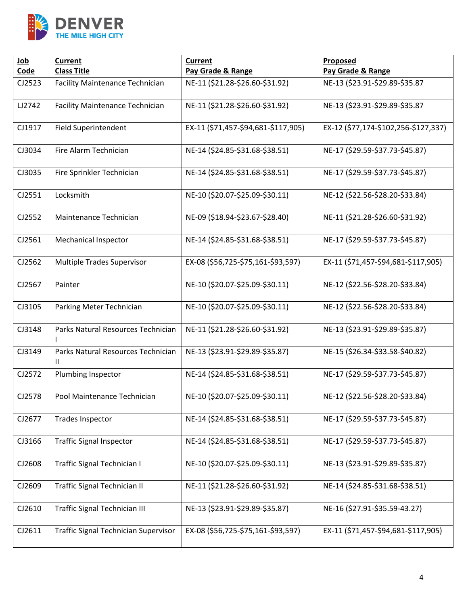

| Job    | <b>Current</b><br><b>Current</b>            |                                     | Proposed                             |
|--------|---------------------------------------------|-------------------------------------|--------------------------------------|
| Code   | <b>Class Title</b>                          | Pay Grade & Range                   | Pay Grade & Range                    |
| CJ2523 | <b>Facility Maintenance Technician</b>      | NE-11 (\$21.28-\$26.60-\$31.92)     | NE-13 (\$23.91-\$29.89-\$35.87       |
| LJ2742 | <b>Facility Maintenance Technician</b>      | NE-11 (\$21.28-\$26.60-\$31.92)     | NE-13 (\$23.91-\$29.89-\$35.87       |
| CJ1917 | <b>Field Superintendent</b>                 | EX-11 (\$71,457-\$94,681-\$117,905) | EX-12 (\$77,174-\$102,256-\$127,337) |
| CJ3034 | Fire Alarm Technician                       | NE-14 (\$24.85-\$31.68-\$38.51)     | NE-17 (\$29.59-\$37.73-\$45.87)      |
| CJ3035 | Fire Sprinkler Technician                   | NE-14 (\$24.85-\$31.68-\$38.51)     | NE-17 (\$29.59-\$37.73-\$45.87)      |
| CJ2551 | Locksmith                                   | NE-10 (\$20.07-\$25.09-\$30.11)     | NE-12 (\$22.56-\$28.20-\$33.84)      |
| CJ2552 | Maintenance Technician                      | NE-09 (\$18.94-\$23.67-\$28.40)     | NE-11 (\$21.28-\$26.60-\$31.92)      |
| CJ2561 | <b>Mechanical Inspector</b>                 | NE-14 (\$24.85-\$31.68-\$38.51)     | NE-17 (\$29.59-\$37.73-\$45.87)      |
| CJ2562 | Multiple Trades Supervisor                  | EX-08 (\$56,725-\$75,161-\$93,597)  | EX-11 (\$71,457-\$94,681-\$117,905)  |
| CJ2567 | Painter                                     | NE-10 (\$20.07-\$25.09-\$30.11)     | NE-12 (\$22.56-\$28.20-\$33.84)      |
| CJ3105 | Parking Meter Technician                    | NE-10 (\$20.07-\$25.09-\$30.11)     | NE-12 (\$22.56-\$28.20-\$33.84)      |
| CJ3148 | Parks Natural Resources Technician          | NE-11 (\$21.28-\$26.60-\$31.92)     | NE-13 (\$23.91-\$29.89-\$35.87)      |
| CJ3149 | Parks Natural Resources Technician<br>Ш     | NE-13 (\$23.91-\$29.89-\$35.87)     | NE-15 (\$26.34-\$33.58-\$40.82)      |
| CJ2572 | Plumbing Inspector                          | NE-14 (\$24.85-\$31.68-\$38.51)     | NE-17 (\$29.59-\$37.73-\$45.87)      |
| CJ2578 | Pool Maintenance Technician                 | NE-10 (\$20.07-\$25.09-\$30.11)     | NE-12 (\$22.56-\$28.20-\$33.84)      |
| CJ2677 | <b>Trades Inspector</b>                     | NE-14 (\$24.85-\$31.68-\$38.51)     | NE-17 (\$29.59-\$37.73-\$45.87)      |
| CJ3166 | <b>Traffic Signal Inspector</b>             | NE-14 (\$24.85-\$31.68-\$38.51)     | NE-17 (\$29.59-\$37.73-\$45.87)      |
| CJ2608 | Traffic Signal Technician I                 | NE-10 (\$20.07-\$25.09-\$30.11)     | NE-13 (\$23.91-\$29.89-\$35.87)      |
| CJ2609 | <b>Traffic Signal Technician II</b>         | NE-11 (\$21.28-\$26.60-\$31.92)     | NE-14 (\$24.85-\$31.68-\$38.51)      |
| CJ2610 | <b>Traffic Signal Technician III</b>        | NE-13 (\$23.91-\$29.89-\$35.87)     | NE-16 (\$27.91-\$35.59-43.27)        |
| CJ2611 | <b>Traffic Signal Technician Supervisor</b> | EX-08 (\$56,725-\$75,161-\$93,597)  | EX-11 (\$71,457-\$94,681-\$117,905)  |